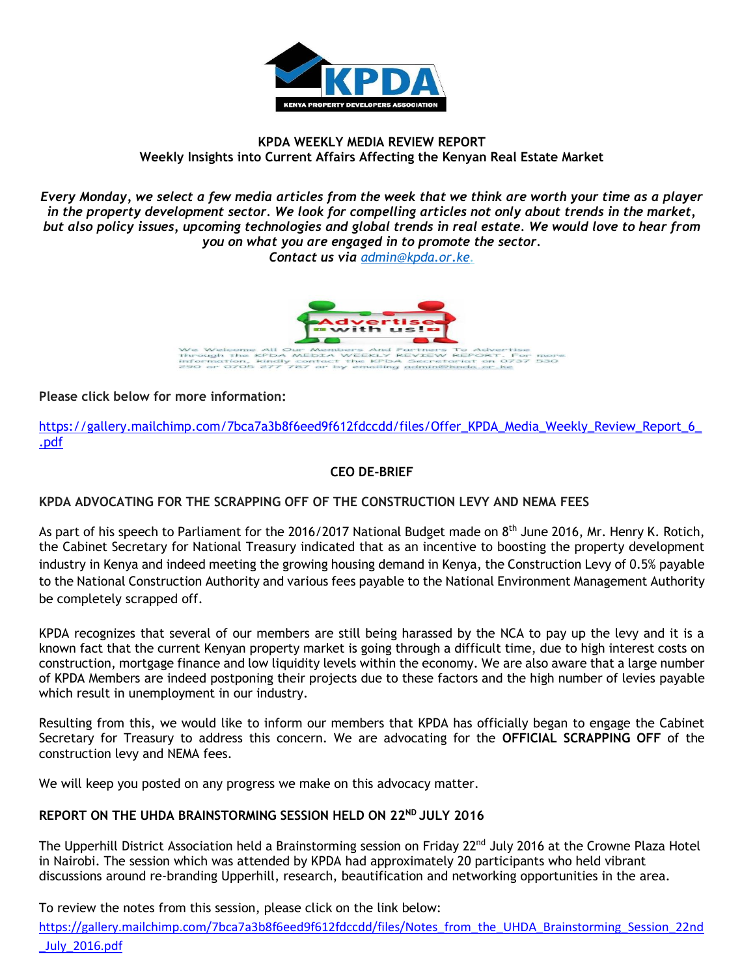

## **KPDA WEEKLY MEDIA REVIEW REPORT Weekly Insights into Current Affairs Affecting the Kenyan Real Estate Market**

*Every Monday, we select a few media articles from the week that we think are worth your time as a player in the property development sector. We look for compelling articles not only about trends in the market, but also policy issues, upcoming technologies and global trends in real estate. We would love to hear from you on what you are engaged in to promote the sector.*

*Contact us via [admin@kpda.or](mailto:admin@kpda.or.ke).ke.* 



**Please click below for more information:** 

[https://gallery.mailchimp.com/7bca7a3b8f6eed9f612fdccdd/files/Offer\\_KPDA\\_Media\\_Weekly\\_Review\\_Report\\_6\\_](https://gallery.mailchimp.com/7bca7a3b8f6eed9f612fdccdd/files/Offer_KPDA_Media_Weekly_Review_Report_6_.pdf) [.pdf](https://gallery.mailchimp.com/7bca7a3b8f6eed9f612fdccdd/files/Offer_KPDA_Media_Weekly_Review_Report_6_.pdf)

## **CEO DE-BRIEF**

### **KPDA ADVOCATING FOR THE SCRAPPING OFF OF THE CONSTRUCTION LEVY AND NEMA FEES**

As part of his speech to Parliament for the 2016/2017 National Budget made on 8<sup>th</sup> June 2016, Mr. Henry K. Rotich, the Cabinet Secretary for National Treasury indicated that as an incentive to boosting the property development industry in Kenya and indeed meeting the growing housing demand in Kenya, the Construction Levy of 0.5% payable to the National Construction Authority and various fees payable to the National Environment Management Authority be completely scrapped off.

KPDA recognizes that several of our members are still being harassed by the NCA to pay up the levy and it is a known fact that the current Kenyan property market is going through a difficult time, due to high interest costs on construction, mortgage finance and low liquidity levels within the economy. We are also aware that a large number of KPDA Members are indeed postponing their projects due to these factors and the high number of levies payable which result in unemployment in our industry.

Resulting from this, we would like to inform our members that KPDA has officially began to engage the Cabinet Secretary for Treasury to address this concern. We are advocating for the **OFFICIAL SCRAPPING OFF** of the construction levy and NEMA fees.

We will keep you posted on any progress we make on this advocacy matter.

### REPORT ON THE UHDA BRAINSTORMING SESSION HELD ON 22ND JULY 2016

The Upperhill District Association held a Brainstorming session on Friday 22<sup>nd</sup> July 2016 at the Crowne Plaza Hotel in Nairobi. The session which was attended by KPDA had approximately 20 participants who held vibrant discussions around re-branding Upperhill, research, beautification and networking opportunities in the area.

To review the notes from this session, please click on the link below:

[https://gallery.mailchimp.com/7bca7a3b8f6eed9f612fdccdd/files/Notes\\_from\\_the\\_UHDA\\_Brainstorming\\_Session\\_22nd](https://gallery.mailchimp.com/7bca7a3b8f6eed9f612fdccdd/files/Notes_from_the_UHDA_Brainstorming_Session_22nd_July_2016.pdf) [\\_July\\_2016.pdf](https://gallery.mailchimp.com/7bca7a3b8f6eed9f612fdccdd/files/Notes_from_the_UHDA_Brainstorming_Session_22nd_July_2016.pdf)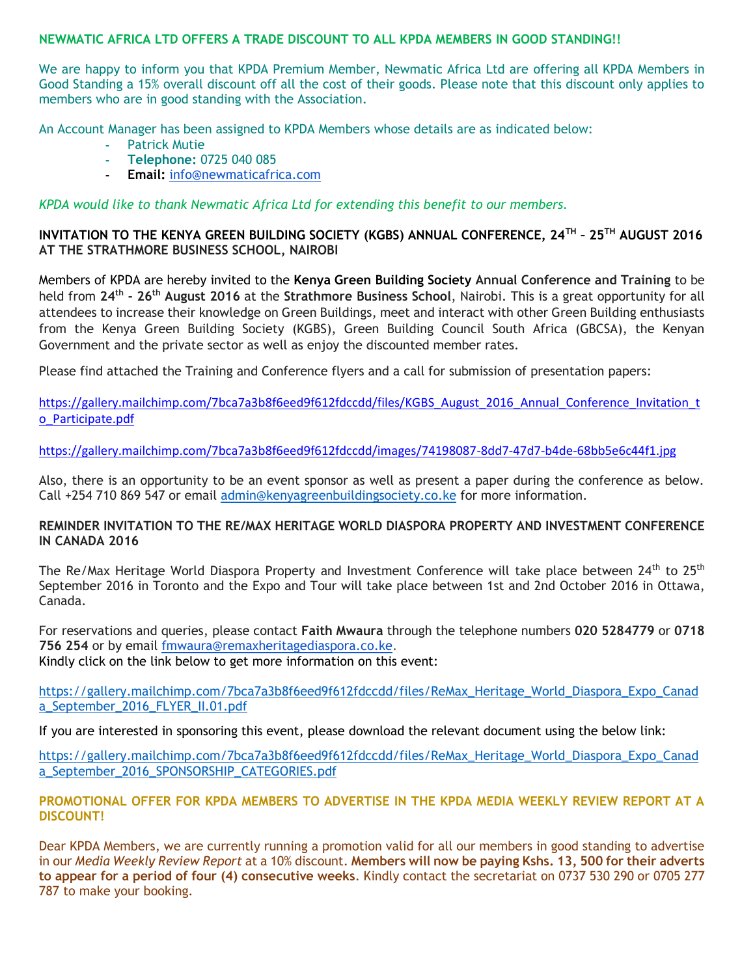### **NEWMATIC AFRICA LTD OFFERS A TRADE DISCOUNT TO ALL KPDA MEMBERS IN GOOD STANDING!!**

We are happy to inform you that KPDA Premium Member, Newmatic Africa Ltd are offering all KPDA Members in Good Standing a 15% overall discount off all the cost of their goods. Please note that this discount only applies to members who are in good standing with the Association.

An Account Manager has been assigned to KPDA Members whose details are as indicated below:

- **-** Patrick Mutie
- **- Telephone:** 0725 040 085
- **- Email:** [info@newmaticafrica.com](mailto:info@newmaticafrica.com)

*KPDA would like to thank Newmatic Africa Ltd for extending this benefit to our members.*

### **INVITATION TO THE KENYA GREEN BUILDING SOCIETY (KGBS) ANNUAL CONFERENCE, 24TH – 25TH AUGUST 2016 AT THE STRATHMORE BUSINESS SCHOOL, NAIROBI**

Members of KPDA are hereby invited to the **Kenya Green Building Society Annual Conference and Training** to be held from **24th - 26th August 2016** at the **Strathmore Business School**, Nairobi. This is a great opportunity for all attendees to increase their knowledge on Green Buildings, meet and interact with other Green Building enthusiasts from the Kenya Green Building Society (KGBS), Green Building Council South Africa (GBCSA), the Kenyan Government and the private sector as well as enjoy the discounted member rates.

Please find attached the Training and Conference flyers and a call for submission of presentation papers:

[https://gallery.mailchimp.com/7bca7a3b8f6eed9f612fdccdd/files/KGBS\\_August\\_2016\\_Annual\\_Conference\\_Invitation\\_t](https://gallery.mailchimp.com/7bca7a3b8f6eed9f612fdccdd/images/74198087-8dd7-47d7-b4de-68bb5e6c44f1.jpg) [o\\_Participate.pdf](https://gallery.mailchimp.com/7bca7a3b8f6eed9f612fdccdd/images/74198087-8dd7-47d7-b4de-68bb5e6c44f1.jpg)

<https://gallery.mailchimp.com/7bca7a3b8f6eed9f612fdccdd/images/74198087-8dd7-47d7-b4de-68bb5e6c44f1.jpg>

Also, there is an opportunity to be an event sponsor as well as present a paper during the conference as below. Call +254 710 869 547 or email [admin@kenyagreenbuildingsociety.co.ke](mailto:admin@kenyagreenbuildingsociety.co.ke) for more information.

#### **REMINDER INVITATION TO THE RE/MAX HERITAGE WORLD DIASPORA PROPERTY AND INVESTMENT CONFERENCE IN CANADA 2016**

The Re/Max Heritage World Diaspora Property and Investment Conference will take place between 24<sup>th</sup> to 25<sup>th</sup> September 2016 in Toronto and the Expo and Tour will take place between 1st and 2nd October 2016 in Ottawa, Canada.

For reservations and queries, please contact **Faith Mwaura** through the telephone numbers **020 5284779** or **0718 756 254** or by email [fmwaura@remaxheritagediaspora.co.ke.](mailto:fmwaura@remaxheritagediaspora.co.ke) Kindly click on the link below to get more information on this event:

[https://gallery.mailchimp.com/7bca7a3b8f6eed9f612fdccdd/files/ReMax\\_Heritage\\_World\\_Diaspora\\_Expo\\_Canad](https://gallery.mailchimp.com/7bca7a3b8f6eed9f612fdccdd/files/ReMax_Heritage_World_Diaspora_Expo_Canada_September_2016_FLYER_II.01.pdf) [a\\_September\\_2016\\_FLYER\\_II.01.pdf](https://gallery.mailchimp.com/7bca7a3b8f6eed9f612fdccdd/files/ReMax_Heritage_World_Diaspora_Expo_Canada_September_2016_FLYER_II.01.pdf)

If you are interested in sponsoring this event, please download the relevant document using the below link:

[https://gallery.mailchimp.com/7bca7a3b8f6eed9f612fdccdd/files/ReMax\\_Heritage\\_World\\_Diaspora\\_Expo\\_Canad](https://gallery.mailchimp.com/7bca7a3b8f6eed9f612fdccdd/files/ReMax_Heritage_World_Diaspora_Expo_Canada_September_2016_SPONSORSHIP_CATEGORIES.pdf) [a\\_September\\_2016\\_SPONSORSHIP\\_CATEGORIES.pdf](https://gallery.mailchimp.com/7bca7a3b8f6eed9f612fdccdd/files/ReMax_Heritage_World_Diaspora_Expo_Canada_September_2016_SPONSORSHIP_CATEGORIES.pdf)

**PROMOTIONAL OFFER FOR KPDA MEMBERS TO ADVERTISE IN THE KPDA MEDIA WEEKLY REVIEW REPORT AT A DISCOUNT!**

Dear KPDA Members, we are currently running a promotion valid for all our members in good standing to advertise in our *Media Weekly Review Report* at a 10% discount. **Members will now be paying Kshs. 13, 500 for their adverts to appear for a period of four (4) consecutive weeks**. Kindly contact the secretariat on 0737 530 290 or 0705 277 787 to make your booking.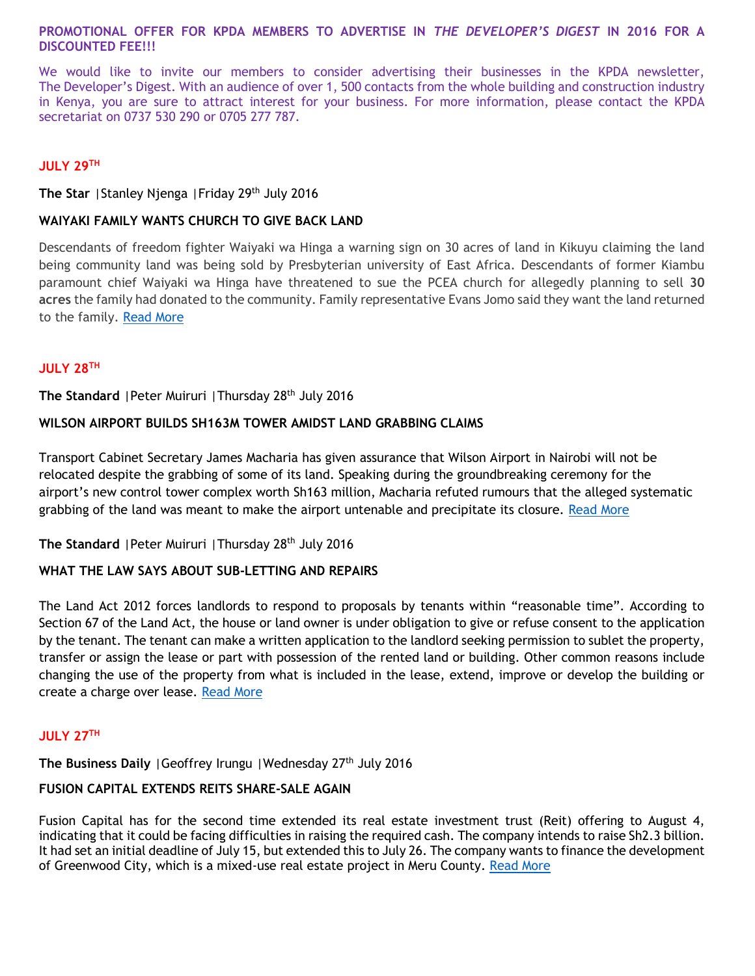### **PROMOTIONAL OFFER FOR KPDA MEMBERS TO ADVERTISE IN** *THE DEVELOPER'S DIGEST* **IN 2016 FOR A DISCOUNTED FEE!!!**

We would like to invite our members to consider advertising their businesses in the KPDA newsletter, The Developer's Digest. With an audience of over 1, 500 contacts from the whole building and construction industry in Kenya, you are sure to attract interest for your business. For more information, please contact the KPDA secretariat on 0737 530 290 or 0705 277 787.

### **JULY 29TH**

**The Star** |Stanley Njenga |Friday 29th July 2016

### **WAIYAKI FAMILY WANTS CHURCH TO GIVE BACK LAND**

Descendants of freedom fighter Waiyaki wa Hinga a warning sign on 30 acres of land in Kikuyu claiming the land being community land was being sold by Presbyterian university of East Africa. Descendants of former Kiambu paramount chief Waiyaki wa Hinga have threatened to sue the PCEA church for allegedly planning to sell **30 acres** the family had donated to the community. Family representative Evans Jomo said they want the land returned to the family. [Read More](http://www.the-star.co.ke/news/2016/07/29/waiyaki-family-wants-church-to-give-back-land_c1393287)

### **JULY 28TH**

**The Standard** |Peter Muiruri |Thursday 28th July 2016

## **WILSON AIRPORT BUILDS SH163M TOWER AMIDST LAND GRABBING CLAIMS**

Transport Cabinet Secretary James Macharia has given assurance that Wilson Airport in Nairobi will not be relocated despite the grabbing of some of its land. Speaking during the groundbreaking ceremony for the airport's new control tower complex worth Sh163 million, Macharia refuted rumours that the alleged systematic grabbing of the land was meant to make the airport untenable and precipitate its closure. [Read More](http://www.standardmedia.co.ke/lifestyle/article/2000210004/wilson-airport-builds-sh163m-tower-amidst-land-grabbing-claims)

## The Standard | Peter Muiruri | Thursday 28<sup>th</sup> July 2016

### **WHAT THE LAW SAYS ABOUT SUB-LETTING AND REPAIRS**

The Land Act 2012 forces landlords to respond to proposals by tenants within "reasonable time". According to Section 67 of the Land Act, the house or land owner is under obligation to give or refuse consent to the application by the tenant. The tenant can make a written application to the landlord seeking permission to sublet the property, transfer or assign the lease or part with possession of the rented land or building. Other common reasons include changing the use of the property from what is included in the lease, extend, improve or develop the building or create a charge over lease. [Read More](http://www.standardmedia.co.ke/lifestyle/article/2000210009/what-the-law-says-about-sub-letting-and-repairs)

### **JULY 27TH**

# **The Business Daily** | Geoffrey Irungu | Wednesday 27<sup>th</sup> July 2016

# **FUSION CAPITAL EXTENDS REITS SHARE-SALE AGAIN**

Fusion Capital has for the second time extended its real estate investment trust (Reit) offering to August 4, indicating that it could be facing difficulties in raising the required cash. The company intends to raise Sh2.3 billion. It had set an initial deadline of July 15, but extended this to July 26. The company wants to finance the development of Greenwood City, which is a mixed-use real estate project in Meru County. [Read More](http://www.businessdailyafrica.com/Fusion-Capital-extends-Reits-share-sale-again/539552-3318004-qs3c8xz/index.html)